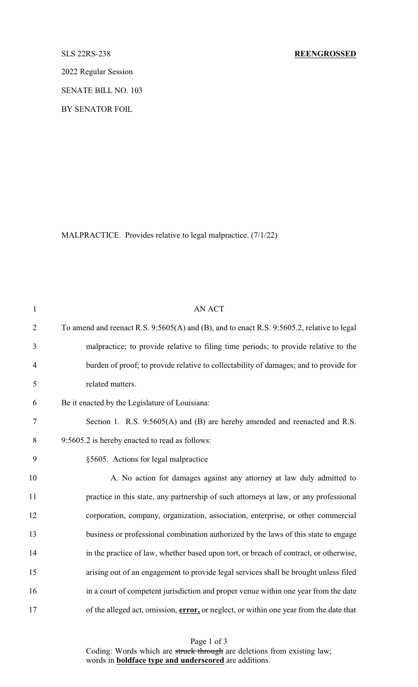2022 Regular Session

SENATE BILL NO. 103

BY SENATOR FOIL

MALPRACTICE. Provides relative to legal malpractice. (7/1/22)

| $\mathbf{1}$   | <b>AN ACT</b>                                                                              |
|----------------|--------------------------------------------------------------------------------------------|
| $\overline{2}$ | To amend and reenact R.S. 9:5605(A) and (B), and to enact R.S. 9:5605.2, relative to legal |
| 3              | malpractice; to provide relative to filing time periods; to provide relative to the        |
| 4              | burden of proof; to provide relative to collectability of damages; and to provide for      |
| 5              | related matters.                                                                           |
| 6              | Be it enacted by the Legislature of Louisiana:                                             |
| 7              | Section 1. R.S. 9:5605(A) and (B) are hereby amended and reenacted and R.S.                |
| 8              | 9:5605.2 is hereby enacted to read as follows:                                             |
| 9              | §5605. Actions for legal malpractice                                                       |
| 10             | A. No action for damages against any attorney at law duly admitted to                      |
| 11             | practice in this state, any partnership of such attorneys at law, or any professional      |
| 12             | corporation, company, organization, association, enterprise, or other commercial           |
| 13             | business or professional combination authorized by the laws of this state to engage        |
| 14             | in the practice of law, whether based upon tort, or breach of contract, or otherwise,      |
| 15             | arising out of an engagement to provide legal services shall be brought unless filed       |
| 16             | in a court of competent jurisdiction and proper venue within one year from the date        |
| 17             | of the alleged act, omission, error, or neglect, or within one year from the date that     |

Page 1 of 3 Coding: Words which are struck through are deletions from existing law; words in **boldface type and underscored** are additions.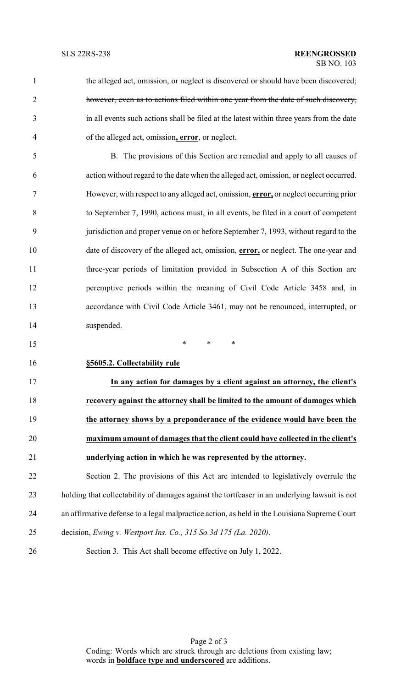the alleged act, omission, or neglect is discovered or should have been discovered; however, even as to actions filed within one year from the date of such discovery, in all events such actions shall be filed at the latest within three years from the date of the alleged act, omission**, error**, or neglect.

 B. The provisions of this Section are remedial and apply to all causes of action without regard to the date when the alleged act, omission, or neglect occurred. However, with respect to any alleged act, omission, **error,** or neglect occurring prior to September 7, 1990, actions must, in all events, be filed in a court of competent jurisdiction and proper venue on or before September 7, 1993, without regard to the date of discovery of the alleged act, omission, **error,** or neglect. The one-year and three-year periods of limitation provided in Subsection A of this Section are peremptive periods within the meaning of Civil Code Article 3458 and, in accordance with Civil Code Article 3461, may not be renounced, interrupted, or suspended.

\* \* \*

**§5605.2. Collectability rule**

 **In any action for damages by a client against an attorney, the client's recovery against the attorney shall be limited to the amount of damages which the attorney shows by a preponderance of the evidence would have been the maximum amount of damages that the client could have collected in the client's underlying action in which he was represented by the attorney.**

 Section 2. The provisions of this Act are intended to legislatively overrule the holding that collectability of damages against the tortfeaser in an underlying lawsuit is not an affirmative defense to a legal malpractice action, as held in the Louisiana Supreme Court decision, *Ewing v. Westport Ins. Co., 315 So.3d 175 (La. 2020)*.

Section 3. This Act shall become effective on July 1, 2022.